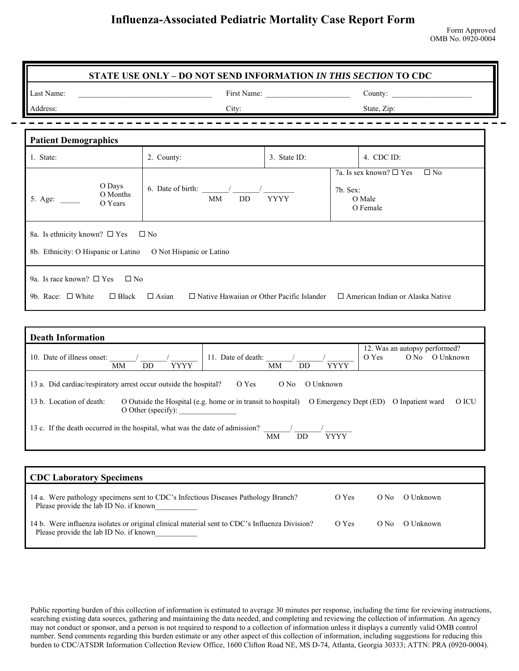| Last Name:                                                                                            | <u> 1989 - Johann Harry Harry Harry Harry Harry Harry Harry Harry Harry Harry Harry Harry Harry Harry Harry Harry Harry Harry Harry Harry Harry Harry Harry Harry Harry Harry Harry Harry Harry Harry Harry Harry Harry Harry Ha</u> |              | County:                                                                                  |  |  |
|-------------------------------------------------------------------------------------------------------|--------------------------------------------------------------------------------------------------------------------------------------------------------------------------------------------------------------------------------------|--------------|------------------------------------------------------------------------------------------|--|--|
| Address:                                                                                              | City:                                                                                                                                                                                                                                |              | State, Zip:                                                                              |  |  |
| <b>Patient Demographics</b>                                                                           |                                                                                                                                                                                                                                      |              |                                                                                          |  |  |
| 1. State:                                                                                             | 2. County:                                                                                                                                                                                                                           | 3. State ID: | 4. CDC ID:                                                                               |  |  |
| O Days<br>O Months<br>O Years                                                                         | 6. Date of birth: $\frac{1}{\sqrt{2\pi}}$<br>MM<br>DD.                                                                                                                                                                               | <b>YYYY</b>  | 7a. Is sex known? $\square$ Yes<br>$\square$ No<br>7b. Sex:<br>O Male<br>O Female        |  |  |
| 8a. Is ethnicity known? $\square$ Yes<br>8b. Ethnicity: O Hispanic or Latino O Not Hispanic or Latino | $\square$ No                                                                                                                                                                                                                         |              |                                                                                          |  |  |
| 9a. Is race known? $\square$ Yes<br>$\Box$ No<br>9b. Race: $\Box$ White $\Box$ Black $\Box$ Asian     |                                                                                                                                                                                                                                      |              | $\Box$ Native Hawaiian or Other Pacific Islander $\Box$ American Indian or Alaska Native |  |  |

| 10. Date of illness onset: | YYYY<br>MМ<br>DD                                                             | Date of death:<br>11<br>YYYY<br>MМ<br>DD                     | 12. Was an autopsy performed?<br>O Yes<br>O Unknown<br>O No |
|----------------------------|------------------------------------------------------------------------------|--------------------------------------------------------------|-------------------------------------------------------------|
|                            | 13 a. Did cardiac/respiratory arrest occur outside the hospital?             | O Yes<br>O Unknown<br>O No                                   |                                                             |
| 13 b. Location of death:   | O Other (specify):                                                           | O Outside the Hospital (e.g. home or in transit to hospital) | O ICU<br>O Emergency Dept (ED)<br>O Inpatient ward          |
|                            | 13 c. If the death occurred in the hospital, what was the date of admission? | <b>YYYY</b><br>MM<br>DD                                      |                                                             |

| <b>CDC Laboratory Specimens</b>                                                                                                         |       |      |           |
|-----------------------------------------------------------------------------------------------------------------------------------------|-------|------|-----------|
| 14 a. Were pathology specimens sent to CDC's Infectious Diseases Pathology Branch?<br>Please provide the lab ID No. if known            | O Yes | O No | O Unknown |
| 14 b. Were influenza isolates or original clinical material sent to CDC's Influenza Division?<br>Please provide the lab ID No. if known | O Yes | O No | O Unknown |

Public reporting burden of this collection of information is estimated to average 30 minutes per response, including the time for reviewing instructions, searching existing data sources, gathering and maintaining the data needed, and completing and reviewing the collection of information. An agency may not conduct or sponsor, and a person is not required to respond to a collection of information unless it displays a currently valid OMB control number. Send comments regarding this burden estimate or any other aspect of this collection of information, including suggestions for reducing this burden to CDC/ATSDR Information Collection Review Office, 1600 Clifton Road NE, MS D-74, Atlanta, Georgia 30333; ATTN: PRA (0920-0004).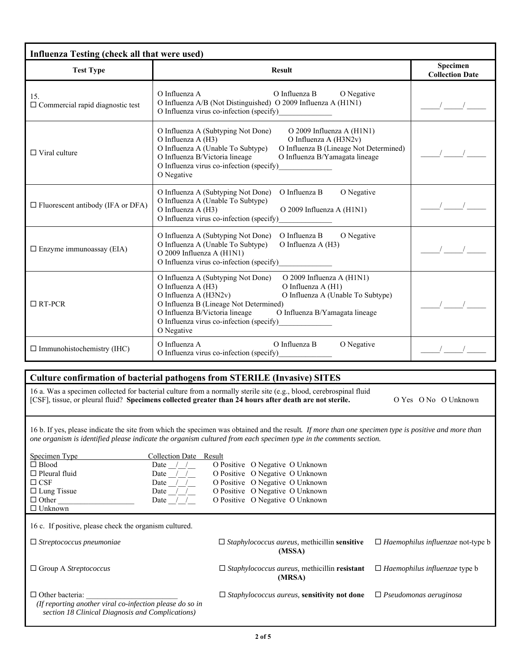| <b>Test Type</b>                               | <b>Result</b>                                                                                                                                                                                                                                                                                                                                     | Specimen<br><b>Collection Date</b> |
|------------------------------------------------|---------------------------------------------------------------------------------------------------------------------------------------------------------------------------------------------------------------------------------------------------------------------------------------------------------------------------------------------------|------------------------------------|
| 15.<br>$\Box$ Commercial rapid diagnostic test | O Influenza A<br>O Influenza B<br>O Negative<br>O Influenza A/B (Not Distinguished) O 2009 Influenza A (H1N1)<br>O Influenza virus co-infection (specify)                                                                                                                                                                                         | $\frac{1}{\sqrt{1-\frac{1}{2}}}$   |
| $\Box$ Viral culture                           | O Influenza A (Subtyping Not Done)<br>O 2009 Influenza A (H1N1)<br>O Influenza A (H3N2v)<br>O Influenza $A(H3)$<br>O Influenza A (Unable To Subtype)<br>O Influenza B (Lineage Not Determined)<br>O Influenza B/Victoria lineage<br>O Influenza B/Yamagata lineage<br>O Influenza virus co-infection (specify)<br>O Negative                      | $\frac{1}{2}$ $\frac{1}{2}$        |
| $\Box$ Fluorescent antibody (IFA or DFA)       | O Influenza B<br>O Negative<br>O Influenza A (Subtyping Not Done)<br>O Influenza A (Unable To Subtype)<br>O Influenza A (H3)<br>O 2009 Influenza A (H1N1)<br>O Influenza virus co-infection (specify)                                                                                                                                             | $\sqrt{2}$                         |
| $\square$ Enzyme immunoassay (EIA)             | O Influenza A (Subtyping Not Done)<br>O Influenza B<br>O Negative<br>O Influenza A (Unable To Subtype)<br>O Influenza A (H3)<br>O 2009 Influenza A (H1N1)<br>O Influenza virus co-infection (specify)                                                                                                                                             |                                    |
| $\Box$ RT-PCR                                  | O 2009 Influenza A (H1N1)<br>O Influenza A (Subtyping Not Done)<br>O Influenza A (H3)<br>O Influenza A (H1)<br>O Influenza A (H3N2v)<br>O Influenza A (Unable To Subtype)<br>O Influenza B (Lineage Not Determined)<br>O Influenza B/Victoria lineage<br>O Influenza B/Yamagata lineage<br>O Influenza virus co-infection (specify)<br>O Negative |                                    |
| $\Box$ Immunohistochemistry (IHC)              | O Influenza B<br>O Influenza A<br>O Negative<br>O Influenza virus co-infection (specify)                                                                                                                                                                                                                                                          | $\frac{1}{2}$ $\frac{1}{2}$        |
|                                                |                                                                                                                                                                                                                                                                                                                                                   |                                    |
|                                                | Culture confirmation of bacterial pathogens from STERILE (Invasive) SITES<br>16 a. Was a specimen collected for bacterial culture from a normally sterile site (e.g., blood, cerebrospinal fluid                                                                                                                                                  |                                    |
|                                                | [CSF], tissue, or pleural fluid? Specimens collected greater than 24 hours after death are not sterile.                                                                                                                                                                                                                                           | O Yes O No O Unknown               |
|                                                | 16 b. If yes, please indicate the site from which the specimen was obtained and the result. If more than one specimen type is positive and more than<br>one organism is identified please indicate the organism cultured from each specimen type in the comments section.                                                                         |                                    |
| Specimen Type                                  | Collection Date Result                                                                                                                                                                                                                                                                                                                            |                                    |
| $\Box$ Blood                                   | O Positive O Negative O Unknown<br>Date $/$                                                                                                                                                                                                                                                                                                       |                                    |
| $\Box$ Pleural fluid<br>$\Box$ CSF             | Date $/$ /<br>O Positive O Negative O Unknown<br>O Positive O Negative O Unknown<br>Date $/$                                                                                                                                                                                                                                                      |                                    |
| $\Box$ Lung Tissue                             | O Positive O Negative O Unknown<br>Date $/$ /                                                                                                                                                                                                                                                                                                     |                                    |
| $\Box$ Other                                   | O Positive O Negative O Unknown<br>Date                                                                                                                                                                                                                                                                                                           |                                    |

*(If reporting another viral co-infection please do so in section 18 Clinical Diagnosis and Complications)* 

16 c. If positive, please check the organism cultured.

Unknown

 $\Box$  Other bacteria:

**(MSSA)** 

**(MRSA)** 

*Staphylococcus aureus,* **sensitivity not done** *Pseudomonas aeruginosa* 

*Haemophilus influenzae* not-type b

*Haemophilus influenzae* type b

*Streptococcus pneumoniae Staphylococcus aureus,* methicillin **sensitive** 

Group A *Streptococcus Staphylococcus aureus,* methicillin **resistant**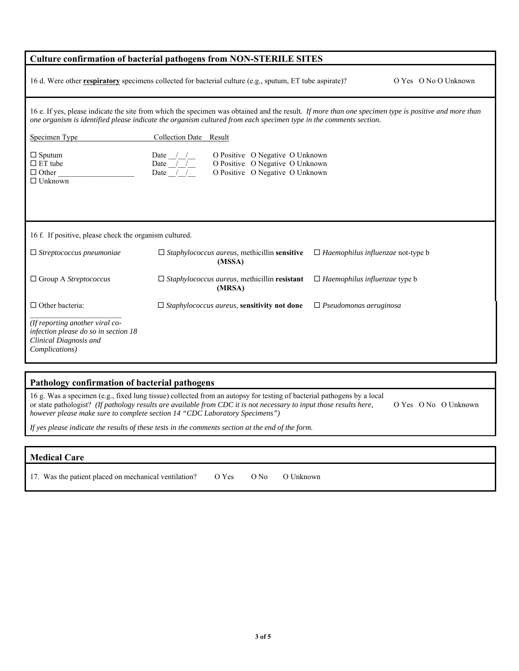|                                                                                                                     | <b>Culture confirmation of bacterial pathogens from NON-STERILE SITES</b>                                                                                                                                                                                                 |                                          |                      |
|---------------------------------------------------------------------------------------------------------------------|---------------------------------------------------------------------------------------------------------------------------------------------------------------------------------------------------------------------------------------------------------------------------|------------------------------------------|----------------------|
|                                                                                                                     | 16 d. Were other <b>respiratory</b> specimens collected for bacterial culture (e.g., sputum, ET tube aspirate)?                                                                                                                                                           |                                          | O Yes O No O Unknown |
|                                                                                                                     | 16 e. If yes, please indicate the site from which the specimen was obtained and the result. If more than one specimen type is positive and more than<br>one organism is identified please indicate the organism cultured from each specimen type in the comments section. |                                          |                      |
| Specimen Type                                                                                                       | Collection Date Result                                                                                                                                                                                                                                                    |                                          |                      |
| $\Box$ Sputum<br>$\Box$ ET tube<br>$\Box$ Other<br>$\Box$ Unknown                                                   | O Positive O Negative O Unknown<br>Date $\_\_\_\_\_\_\_\_\$<br>Date $\sqrt{1}$<br>O Positive O Negative O Unknown<br>O Positive O Negative O Unknown<br>Date $/$ /                                                                                                        |                                          |                      |
| 16 f. If positive, please check the organism cultured.                                                              |                                                                                                                                                                                                                                                                           |                                          |                      |
| $\Box$ Streptococcus pneumoniae                                                                                     | $\Box$ Staphylococcus aureus, methicillin sensitive<br>(MSSA)                                                                                                                                                                                                             | $\Box$ Haemophilus influenzae not-type b |                      |
| $\Box$ Group A Streptococcus                                                                                        | $\Box$ Staphylococcus aureus, methicillin resistant<br>(MRSA)                                                                                                                                                                                                             | $\Box$ Haemophilus influenzae type b     |                      |
| $\Box$ Other bacteria:                                                                                              | $\Box$ Staphylococcus aureus, sensitivity not done                                                                                                                                                                                                                        | $\Box$ Pseudomonas aeruginosa            |                      |
| (If reporting another viral co-<br>infection please do so in section 18<br>Clinical Diagnosis and<br>Complications) |                                                                                                                                                                                                                                                                           |                                          |                      |
|                                                                                                                     |                                                                                                                                                                                                                                                                           |                                          |                      |

| Pathology confirmation of bacterial pathogens                                                                                                                                                                                                                                                                                |  |                      |  |
|------------------------------------------------------------------------------------------------------------------------------------------------------------------------------------------------------------------------------------------------------------------------------------------------------------------------------|--|----------------------|--|
| 16 g. Was a specimen (e.g., fixed lung tissue) collected from an autopsy for testing of bacterial pathogens by a local<br>or state pathologist? (If pathology results are available from CDC it is not necessary to input those results here,<br>however please make sure to complete section 14 "CDC Laboratory Specimens") |  | O Yes O No O Unknown |  |
| If yes please indicate the results of these tests in the comments section at the end of the form.                                                                                                                                                                                                                            |  |                      |  |

| <b>Medical Care</b>                                         |        |           |
|-------------------------------------------------------------|--------|-----------|
| 17. Was the patient placed on mechanical ventilation? O Yes | $O$ No | O Unknown |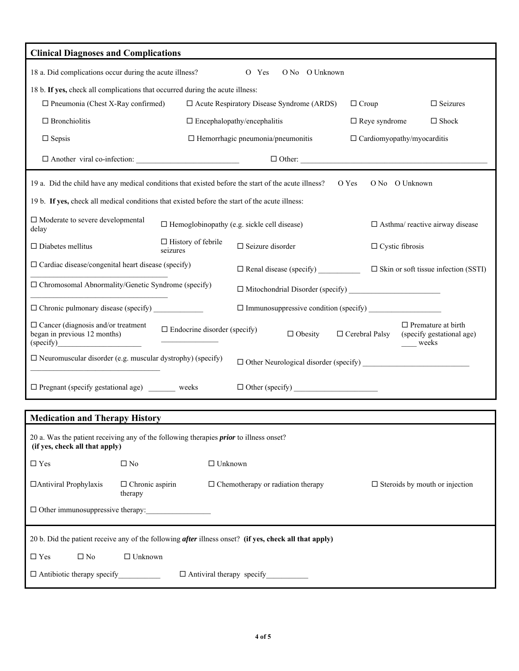| <b>Clinical Diagnoses and Complications</b>                                                                                     |                                                                                                                                                   |                                                                                        |                                                    |                                |       |                        |                                                |
|---------------------------------------------------------------------------------------------------------------------------------|---------------------------------------------------------------------------------------------------------------------------------------------------|----------------------------------------------------------------------------------------|----------------------------------------------------|--------------------------------|-------|------------------------|------------------------------------------------|
| 18 a. Did complications occur during the acute illness?<br>O No O Unknown<br>O Yes                                              |                                                                                                                                                   |                                                                                        |                                                    |                                |       |                        |                                                |
| 18 b. If yes, check all complications that occurred during the acute illness:                                                   |                                                                                                                                                   |                                                                                        |                                                    |                                |       |                        |                                                |
| $\Box$ Pneumonia (Chest X-Ray confirmed)                                                                                        |                                                                                                                                                   | $\square$ Seizures<br>$\Box$ Acute Respiratory Disease Syndrome (ARDS)<br>$\Box$ Croup |                                                    |                                |       |                        |                                                |
| $\Box$ Bronchiolitis                                                                                                            |                                                                                                                                                   | $\Box$ Encephalopathy/encephalitis<br>$\Box$ Reye syndrome<br>$\Box$ Shock             |                                                    |                                |       |                        |                                                |
| $\Box$ Sepsis                                                                                                                   |                                                                                                                                                   | $\Box$ Hemorrhagic pneumonia/pneumonitis<br>$\Box$ Cardiomyopathy/myocarditis          |                                                    |                                |       |                        |                                                |
| $\Box$ Another viral co-infection:                                                                                              |                                                                                                                                                   | $\Box$ Other:                                                                          |                                                    |                                |       |                        |                                                |
| 19 a. Did the child have any medical conditions that existed before the start of the acute illness?                             |                                                                                                                                                   |                                                                                        |                                                    |                                | O Yes |                        | O No O Unknown                                 |
| 19 b. If yes, check all medical conditions that existed before the start of the acute illness:                                  |                                                                                                                                                   |                                                                                        |                                                    |                                |       |                        |                                                |
| $\Box$ Moderate to severe developmental<br>delay                                                                                |                                                                                                                                                   |                                                                                        | $\Box$ Hemoglobinopathy (e.g. sickle cell disease) |                                |       |                        | $\Box$ Asthma/ reactive airway disease         |
| $\Box$ Diabetes mellitus                                                                                                        | seizures                                                                                                                                          | $\Box$ History of febrile                                                              | $\Box$ Seizure disorder                            |                                |       | $\Box$ Cystic fibrosis |                                                |
| $\Box$ Cardiac disease/congenital heart disease (specify)                                                                       |                                                                                                                                                   |                                                                                        |                                                    | $\Box$ Renal disease (specify) |       |                        | $\square$ Skin or soft tissue infection (SSTI) |
|                                                                                                                                 | $\Box$ Chromosomal Abnormality/Genetic Syndrome (specify)                                                                                         |                                                                                        |                                                    |                                |       |                        |                                                |
| $\Box$ Chronic pulmonary disease (specify) $\Box$<br>$\Box$ Immunosuppressive condition (specify) $\Box$                        |                                                                                                                                                   |                                                                                        |                                                    |                                |       |                        |                                                |
| $\Box$ Cancer (diagnosis and/or treatment<br>began in previous 12 months)<br>(specify)                                          | $\Box$ Premature at birth<br>$\Box$ Endocrine disorder (specify)<br>$\Box$ Obesity<br>$\Box$ Cerebral Palsy<br>(specify gestational age)<br>weeks |                                                                                        |                                                    |                                |       |                        |                                                |
| $\Box$ Neuromuscular disorder (e.g. muscular dystrophy) (specify)                                                               |                                                                                                                                                   |                                                                                        |                                                    |                                |       |                        |                                                |
| $\Box$ Pregnant (specify gestational age) weeks                                                                                 |                                                                                                                                                   |                                                                                        |                                                    | $\Box$ Other (specify) $\Box$  |       |                        |                                                |
| <b>Medication and Therapy History</b>                                                                                           |                                                                                                                                                   |                                                                                        |                                                    |                                |       |                        |                                                |
| 20 a. Was the patient receiving any of the following therapies <i>prior</i> to illness onset?<br>(if yes, check all that apply) |                                                                                                                                                   |                                                                                        |                                                    |                                |       |                        |                                                |
| $\Box$ Yes                                                                                                                      | $\square$ No                                                                                                                                      | $\Box$ Unknown                                                                         |                                                    |                                |       |                        |                                                |
| □ Antiviral Prophylaxis                                                                                                         | $\Box$ Chronic aspirin<br>therapy                                                                                                                 |                                                                                        | $\Box$ Chemotherapy or radiation therapy           |                                |       |                        | $\Box$ Steroids by mouth or injection          |
| $\Box$ Other immunosuppressive therapy:                                                                                         |                                                                                                                                                   |                                                                                        |                                                    |                                |       |                        |                                                |
| 20 b. Did the patient receive any of the following <i>after</i> illness onset? (if yes, check all that apply)                   |                                                                                                                                                   |                                                                                        |                                                    |                                |       |                        |                                                |
| $\square$ No<br>$\Box$ Yes                                                                                                      | $\Box$ Unknown                                                                                                                                    |                                                                                        |                                                    |                                |       |                        |                                                |
|                                                                                                                                 |                                                                                                                                                   |                                                                                        | $\Box$ Antiviral therapy specify                   |                                |       |                        |                                                |